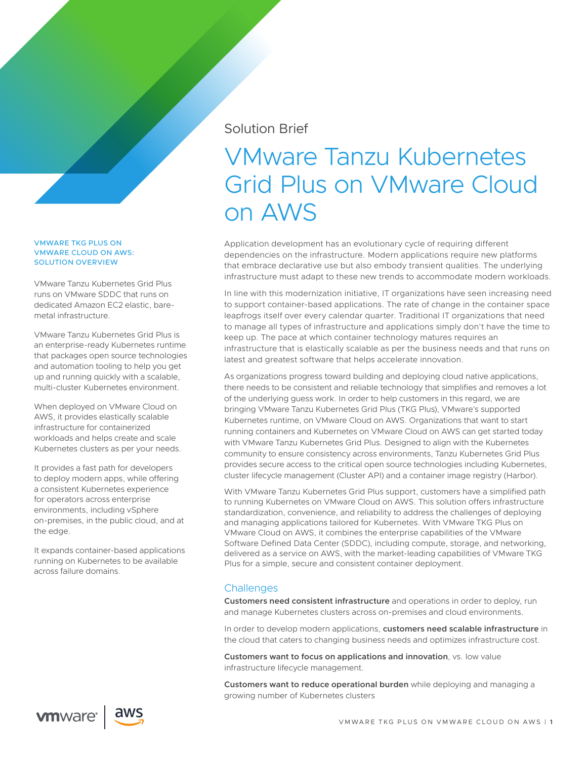## Solution Brief

# VMware Tanzu Kubernetes Grid Plus on VMware Cloud on AWS

Application development has an evolutionary cycle of requiring different dependencies on the infrastructure. Modern applications require new platforms that embrace declarative use but also embody transient qualities. The underlying infrastructure must adapt to these new trends to accommodate modern workloads.

In line with this modernization initiative, IT organizations have seen increasing need to support container-based applications. The rate of change in the container space leapfrogs itself over every calendar quarter. Traditional IT organizations that need to manage all types of infrastructure and applications simply don't have the time to keep up. The pace at which container technology matures requires an infrastructure that is elastically scalable as per the business needs and that runs on latest and greatest software that helps accelerate innovation.

As organizations progress toward building and deploying cloud native applications, there needs to be consistent and reliable technology that simplifies and removes a lot of the underlying guess work. In order to help customers in this regard, we are bringing VMware Tanzu Kubernetes Grid Plus (TKG Plus), VMware's supported Kubernetes runtime, on VMware Cloud on AWS. Organizations that want to start running containers and Kubernetes on VMware Cloud on AWS can get started today with VMware Tanzu Kubernetes Grid Plus. Designed to align with the Kubernetes community to ensure consistency across environments, Tanzu Kubernetes Grid Plus provides secure access to the critical open source technologies including Kubernetes, cluster lifecycle management (Cluster API) and a container image registry (Harbor).

With VMware Tanzu Kubernetes Grid Plus support, customers have a simplified path to running Kubernetes on VMware Cloud on AWS. This solution offers infrastructure standardization, convenience, and reliability to address the challenges of deploying and managing applications tailored for Kubernetes. With VMware TKG Plus on VMware Cloud on AWS, it combines the enterprise capabilities of the VMware Software Defined Data Center (SDDC), including compute, storage, and networking, delivered as a service on AWS, with the market-leading capabilities of VMware TKG Plus for a simple, secure and consistent container deployment.

## **Challenges**

**Customers need consistent infrastructure** and operations in order to deploy, run and manage Kubernetes clusters across on-premises and cloud environments.

In order to develop modern applications, **customers need scalable infrastructure** in the cloud that caters to changing business needs and optimizes infrastructure cost.

**Customers want to focus on applications and innovation**, vs. low value infrastructure lifecycle management.

**Customers want to reduce operational burden** while deploying and managing a growing number of Kubernetes clusters

#### VMWARE TKG PLUS ON VMWARE CLOUD ON AWS: SOLUTION OVERVIEW

VMware Tanzu Kubernetes Grid Plus runs on VMware SDDC that runs on dedicated Amazon EC2 elastic, baremetal infrastructure.

VMware Tanzu Kubernetes Grid Plus is an enterprise-ready Kubernetes runtime that packages open source technologies and automation tooling to help you get up and running quickly with a scalable, multi-cluster Kubernetes environment.

When deployed on VMware Cloud on AWS, it provides elastically scalable infrastructure for containerized workloads and helps create and scale Kubernetes clusters as per your needs.

It provides a fast path for developers to deploy modern apps, while offering a consistent Kubernetes experience for operators across enterprise environments, including vSphere on-premises, in the public cloud, and at the edge.

It expands container-based applications running on Kubernetes to be available across failure domains.



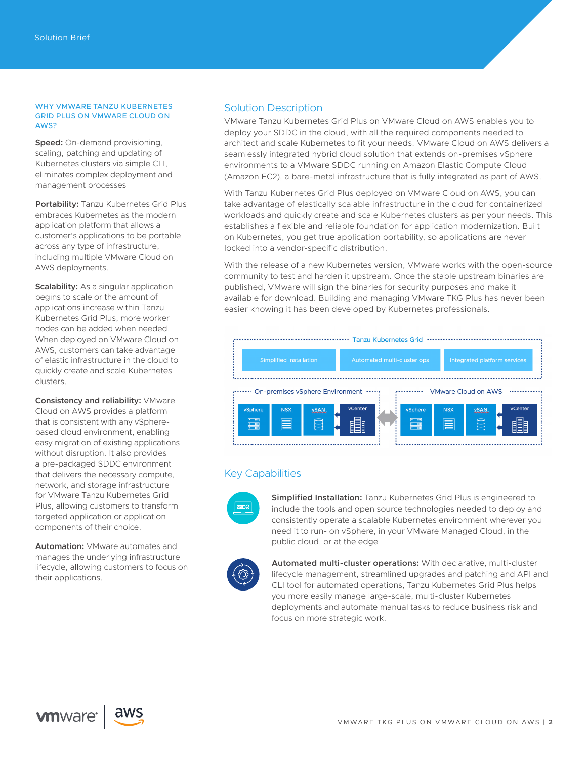#### WHY VMWARE TANZU KUBERNETES GRID PLUS ON VMWARE CLOUD ON AWS?

**Speed:** On-demand provisioning, scaling, patching and updating of Kubernetes clusters via simple CLI, eliminates complex deployment and management processes

**Portability:** Tanzu Kubernetes Grid Plus embraces Kubernetes as the modern application platform that allows a customer's applications to be portable across any type of infrastructure, including multiple VMware Cloud on AWS deployments.

**Scalability:** As a singular application begins to scale or the amount of applications increase within Tanzu Kubernetes Grid Plus, more worker nodes can be added when needed. When deployed on VMware Cloud on AWS, customers can take advantage of elastic infrastructure in the cloud to quickly create and scale Kubernetes clusters.

**Consistency and reliability:** VMware Cloud on AWS provides a platform that is consistent with any vSpherebased cloud environment, enabling easy migration of existing applications without disruption. It also provides a pre-packaged SDDC environment that delivers the necessary compute, network, and storage infrastructure for VMware Tanzu Kubernetes Grid Plus, allowing customers to transform targeted application or application components of their choice.

**Automation:** VMware automates and manages the underlying infrastructure lifecycle, allowing customers to focus on their applications.

### Solution Description

VMware Tanzu Kubernetes Grid Plus on VMware Cloud on AWS enables you to deploy your SDDC in the cloud, with all the required components needed to architect and scale Kubernetes to fit your needs. VMware Cloud on AWS delivers a seamlessly integrated hybrid cloud solution that extends on-premises vSphere environments to a VMware SDDC running on Amazon Elastic Compute Cloud (Amazon EC2), a bare-metal infrastructure that is fully integrated as part of AWS.

With Tanzu Kubernetes Grid Plus deployed on VMware Cloud on AWS, you can take advantage of elastically scalable infrastructure in the cloud for containerized workloads and quickly create and scale Kubernetes clusters as per your needs. This establishes a flexible and reliable foundation for application modernization. Built on Kubernetes, you get true application portability, so applications are never locked into a vendor-specific distribution.

With the release of a new Kubernetes version, VMware works with the open-source community to test and harden it upstream. Once the stable upstream binaries are published, VMware will sign the binaries for security purposes and make it available for download. Building and managing VMware TKG Plus has never been easier knowing it has been developed by Kubernetes professionals.



## Key Capabilities



**Simplified Installation:** Tanzu Kubernetes Grid Plus is engineered to include the tools and open source technologies needed to deploy and consistently operate a scalable Kubernetes environment wherever you need it to run- on vSphere, in your VMware Managed Cloud, in the public cloud, or at the edge



**Automated multi-cluster operations:** With declarative, multi-cluster lifecycle management, streamlined upgrades and patching and API and CLI tool for automated operations, Tanzu Kubernetes Grid Plus helps you more easily manage large-scale, multi-cluster Kubernetes deployments and automate manual tasks to reduce business risk and focus on more strategic work.